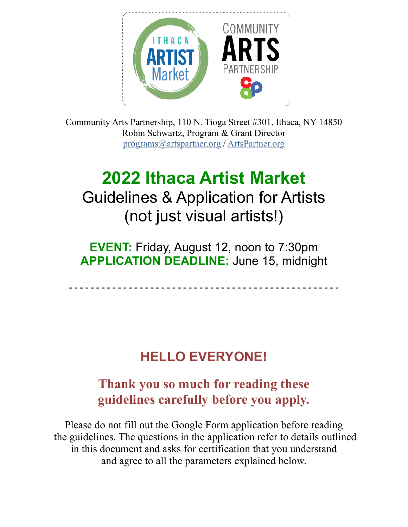

Community Arts Partnership, 110 N. Tioga Street #301, Ithaca, NY 14850 Robin Schwartz, Program & Grant Director [programs@artspartner.org](mailto:programs@artspartner.org) / [ArtsPartner.org](http://ArtsPartner.org)

# **2022 Ithaca Artist Market**  Guidelines & Application for Artists (not just visual artists!)

**EVENT:** Friday, August 12, noon to 7:30pm **APPLICATION DEADLINE:** June 15, midnight

**- - - - - - - - - - - - - - - - - - - - - - - - - - - - - - - - - - - - - - - - - - - - - - - - - -**

# **HELLO EVERYONE!**

## **Thank you so much for reading these guidelines carefully before you apply.**

Please do not fill out the Google Form application before reading the guidelines. The questions in the application refer to details outlined in this document and asks for certification that you understand and agree to all the parameters explained below.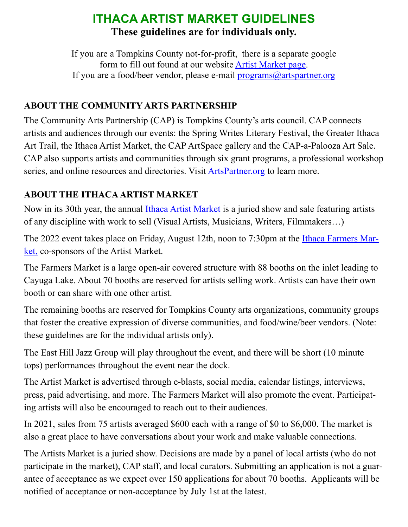## **ITHACA ARTIST MARKET GUIDELINES These guidelines are for individuals only.**

If you are a Tompkins County not-for-profit, there is a separate google form to fill out found at our website [Artist Market page.](https://artspartner.org/content/view/ithaca-artist-markets.html) If you are a food/beer vendor, please e-mail [programs@artspartner.org](mailto:programs@artspartner.org)

#### **ABOUT THE COMMUNITY ARTS PARTNERSHIP**

The Community Arts Partnership (CAP) is Tompkins County's arts council. CAP connects artists and audiences through our events: the Spring Writes Literary Festival, the Greater Ithaca Art Trail, the Ithaca Artist Market, the CAP ArtSpace gallery and the CAP-a-Palooza Art Sale. CAP also supports artists and communities through six grant programs, a professional workshop series, and online resources and directories. Visit **ArtsPartner.org** to learn more.

#### **ABOUT THE ITHACA ARTIST MARKET**

Now in its 30th year, the annual [Ithaca Artist Market](https://artspartner.org/content/view/ithaca-artist-markets.html) is a juried show and sale featuring artists of any discipline with work to sell (Visual Artists, Musicians, Writers, Filmmakers…)

The 2022 event takes place on Friday, August 12th, noon to 7:30pm at the [Ithaca Farmers Mar](http://www.ithacamarket.com)[ket,](http://www.ithacamarket.com) co-sponsors of the Artist Market.

The Farmers Market is a large open-air covered structure with 88 booths on the inlet leading to Cayuga Lake. About 70 booths are reserved for artists selling work. Artists can have their own booth or can share with one other artist.

The remaining booths are reserved for Tompkins County arts organizations, community groups that foster the creative expression of diverse communities, and food/wine/beer vendors. (Note: these guidelines are for the individual artists only).

The East Hill Jazz Group will play throughout the event, and there will be short (10 minute tops) performances throughout the event near the dock.

The Artist Market is advertised through e-blasts, social media, calendar listings, interviews, press, paid advertising, and more. The Farmers Market will also promote the event. Participating artists will also be encouraged to reach out to their audiences.

In 2021, sales from 75 artists averaged \$600 each with a range of \$0 to \$6,000. The market is also a great place to have conversations about your work and make valuable connections.

The Artists Market is a juried show. Decisions are made by a panel of local artists (who do not participate in the market), CAP staff, and local curators. Submitting an application is not a guarantee of acceptance as we expect over 150 applications for about 70 booths. Applicants will be notified of acceptance or non-acceptance by July 1st at the latest.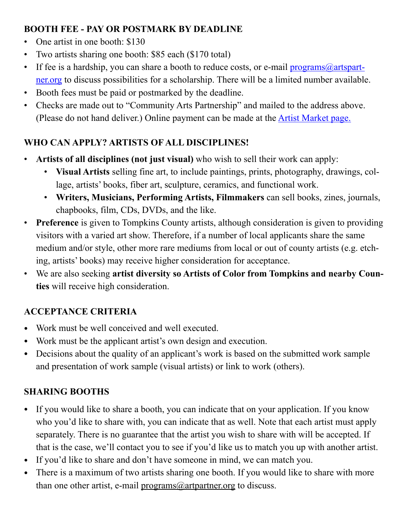#### **BOOTH FEE - PAY OR POSTMARK BY DEADLINE**

- One artist in one booth: \$130
- Two artists sharing one booth: \$85 each (\$170 total)
- If fee is a hardship, you can share a booth to reduce costs, or e-mail  $\frac{programs@artspart-}{$ [ner.org](mailto:programs@artspartner.org) to discuss possibilities for a scholarship. There will be a limited number available.
- Booth fees must be paid or postmarked by the deadline.
- Checks are made out to "Community Arts Partnership" and mailed to the address above. (Please do not hand deliver.) Online payment can be made at the [Artist Market page.](https://artspartner.org/content/view/ithaca-artist-markets.html)

### **WHO CAN APPLY? ARTISTS OF ALL DISCIPLINES!**

- **Artists of all disciplines (not just visual)** who wish to sell their work can apply:
	- **Visual Artists** selling fine art, to include paintings, prints, photography, drawings, collage, artists' books, fiber art, sculpture, ceramics, and functional work.
	- **Writers, Musicians, Performing Artists, Filmmakers** can sell books, zines, journals, chapbooks, film, CDs, DVDs, and the like.
- **Preference** is given to Tompkins County artists, although consideration is given to providing visitors with a varied art show. Therefore, if a number of local applicants share the same medium and/or style, other more rare mediums from local or out of county artists (e.g. etching, artists' books) may receive higher consideration for acceptance.
- We are also seeking **artist diversity so Artists of Color from Tompkins and nearby Counties** will receive high consideration.

## **ACCEPTANCE CRITERIA**

- Work must be well conceived and well executed.
- Work must be the applicant artist's own design and execution.
- Decisions about the quality of an applicant's work is based on the submitted work sample and presentation of work sample (visual artists) or link to work (others).

## **SHARING BOOTHS**

- If you would like to share a booth, you can indicate that on your application. If you know who you'd like to share with, you can indicate that as well. Note that each artist must apply separately. There is no guarantee that the artist you wish to share with will be accepted. If that is the case, we'll contact you to see if you'd like us to match you up with another artist.
- If you'd like to share and don't have someone in mind, we can match you.
- There is a maximum of two artists sharing one booth. If you would like to share with more than one other artist, e-mail  $\frac{\text{programs}(a)}{\text{artpartner.org}}$  to discuss.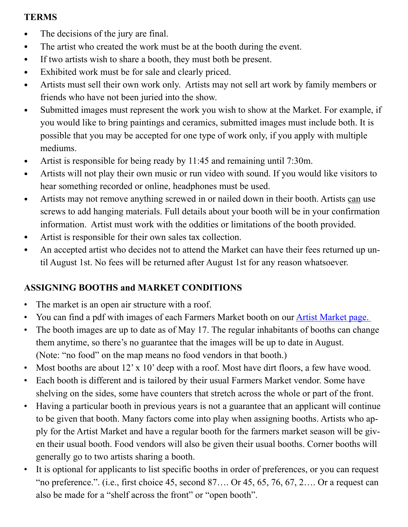#### **TERMS**

- The decisions of the jury are final.
- The artist who created the work must be at the booth during the event.
- If two artists wish to share a booth, they must both be present.
- Exhibited work must be for sale and clearly priced.
- Artists must sell their own work only. Artists may not sell art work by family members or friends who have not been juried into the show.
- Submitted images must represent the work you wish to show at the Market. For example, if you would like to bring paintings and ceramics, submitted images must include both. It is possible that you may be accepted for one type of work only, if you apply with multiple mediums.
- Artist is responsible for being ready by 11:45 and remaining until 7:30m.
- Artists will not play their own music or run video with sound. If you would like visitors to hear something recorded or online, headphones must be used.
- Artists may not remove anything screwed in or nailed down in their booth. Artists can use screws to add hanging materials. Full details about your booth will be in your confirmation information. Artist must work with the oddities or limitations of the booth provided.
- Artist is responsible for their own sales tax collection.
- An accepted artist who decides not to attend the Market can have their fees returned up until August 1st. No fees will be returned after August 1st for any reason whatsoever.

## **ASSIGNING BOOTHS and MARKET CONDITIONS**

- The market is an open air structure with a roof.
- You can find a pdf with images of each Farmers Market booth on our **Artist Market page.**
- The booth images are up to date as of May 17. The regular inhabitants of booths can change them anytime, so there's no guarantee that the images will be up to date in August. (Note: "no food" on the map means no food vendors in that booth.)
- Most booths are about 12' x 10' deep with a roof. Most have dirt floors, a few have wood.
- Each booth is different and is tailored by their usual Farmers Market vendor. Some have shelving on the sides, some have counters that stretch across the whole or part of the front.
- Having a particular booth in previous years is not a guarantee that an applicant will continue to be given that booth. Many factors come into play when assigning booths. Artists who apply for the Artist Market and have a regular booth for the farmers market season will be given their usual booth. Food vendors will also be given their usual booths. Corner booths will generally go to two artists sharing a booth.
- It is optional for applicants to list specific booths in order of preferences, or you can request "no preference.". (i.e., first choice 45, second  $87...$  Or  $45, 65, 76, 67, 2...$  Or a request can also be made for a "shelf across the front" or "open booth".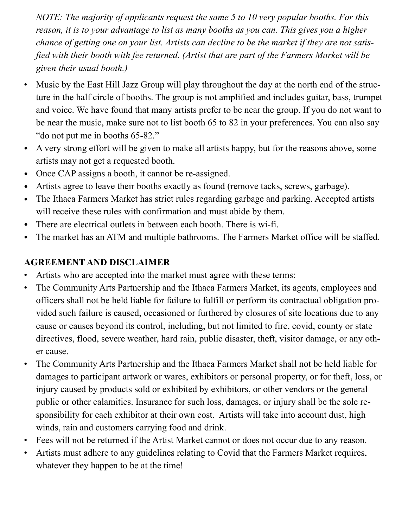*NOTE: The majority of applicants request the same 5 to 10 very popular booths. For this reason, it is to your advantage to list as many booths as you can. This gives you a higher chance of getting one on your list. Artists can decline to be the market if they are not satisfied with their booth with fee returned. (Artist that are part of the Farmers Market will be given their usual booth.)* 

- Music by the East Hill Jazz Group will play throughout the day at the north end of the structure in the half circle of booths. The group is not amplified and includes guitar, bass, trumpet and voice. We have found that many artists prefer to be near the group. If you do not want to be near the music, make sure not to list booth 65 to 82 in your preferences. You can also say "do not put me in booths 65-82."
- A very strong effort will be given to make all artists happy, but for the reasons above, some artists may not get a requested booth.
- Once CAP assigns a booth, it cannot be re-assigned.
- Artists agree to leave their booths exactly as found (remove tacks, screws, garbage).
- The Ithaca Farmers Market has strict rules regarding garbage and parking. Accepted artists will receive these rules with confirmation and must abide by them.
- There are electrical outlets in between each booth. There is wi-fi.
- The market has an ATM and multiple bathrooms. The Farmers Market office will be staffed.

#### **AGREEMENT AND DISCLAIMER**

- Artists who are accepted into the market must agree with these terms:
- The Community Arts Partnership and the Ithaca Farmers Market, its agents, employees and officers shall not be held liable for failure to fulfill or perform its contractual obligation provided such failure is caused, occasioned or furthered by closures of site locations due to any cause or causes beyond its control, including, but not limited to fire, covid, county or state directives, flood, severe weather, hard rain, public disaster, theft, visitor damage, or any other cause.
- The Community Arts Partnership and the Ithaca Farmers Market shall not be held liable for damages to participant artwork or wares, exhibitors or personal property, or for theft, loss, or injury caused by products sold or exhibited by exhibitors, or other vendors or the general public or other calamities. Insurance for such loss, damages, or injury shall be the sole responsibility for each exhibitor at their own cost. Artists will take into account dust, high winds, rain and customers carrying food and drink.
- Fees will not be returned if the Artist Market cannot or does not occur due to any reason.
- Artists must adhere to any guidelines relating to Covid that the Farmers Market requires, whatever they happen to be at the time!